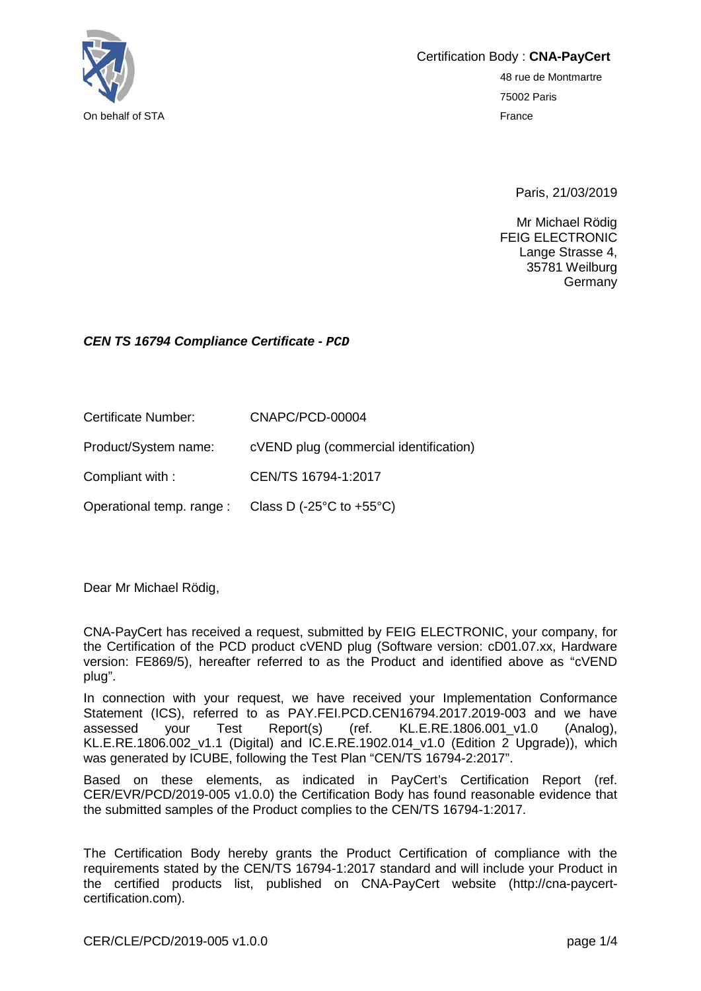

Certification Body : **CNA-PayCert**

48 rue de Montmartre 75002 Paris

Paris, 21/03/2019

Mr Michael Rödig FEIG ELECTRONIC Lange Strasse 4, 35781 Weilburg Germany

## *CEN TS 16794 Compliance Certificate - PCD*

Certificate Number: CNAPC/PCD-00004 Product/System name: cVEND plug (commercial identification)

Compliant with : CEN/TS 16794-1:2017

Operational temp. range : Class D (-25°C to +55°C)

Dear Mr Michael Rödig,

CNA-PayCert has received a request, submitted by FEIG ELECTRONIC, your company, for the Certification of the PCD product cVEND plug (Software version: cD01.07.xx, Hardware version: FE869/5), hereafter referred to as the Product and identified above as "cVEND plug".

In connection with your request, we have received your Implementation Conformance Statement (ICS), referred to as PAY.FEI.PCD.CEN16794.2017.2019-003 and we have assessed vour Test Report(s) (ref. KL.E.RE.1806.001 v1.0 (Analog). assessed your Test Report(s) (ref. KL.E.RE.1806.001\_v1.0 (Analog), KL.E.RE.1806.002 v1.1 (Digital) and IC.E.RE.1902.014 v1.0 (Edition 2 Upgrade)), which was generated by ICUBE, following the Test Plan "CEN/TS 16794-2:2017".

Based on these elements, as indicated in PayCert's Certification Report (ref. CER/EVR/PCD/2019-005 v1.0.0) the Certification Body has found reasonable evidence that the submitted samples of the Product complies to the CEN/TS 16794-1:2017.

The Certification Body hereby grants the Product Certification of compliance with the requirements stated by the CEN/TS 16794-1:2017 standard and will include your Product in the certified products list, published on CNA-PayCert website (http://cna-paycertcertification.com).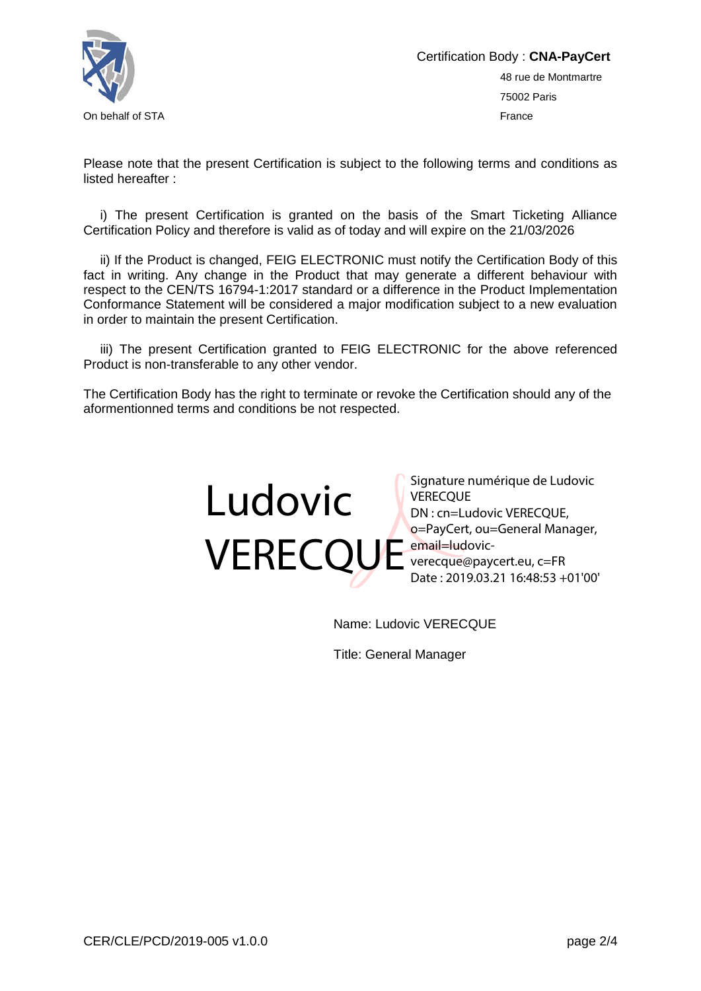

Please note that the present Certification is subject to the following terms and conditions as listed hereafter :

i) The present Certification is granted on the basis of the Smart Ticketing Alliance Certification Policy and therefore is valid as of today and will expire on the 21/03/2026

ii) If the Product is changed, FEIG ELECTRONIC must notify the Certification Body of this fact in writing. Any change in the Product that may generate a different behaviour with respect to the CEN/TS 16794-1:2017 standard or a difference in the Product Implementation Conformance Statement will be considered a major modification subject to a new evaluation in order to maintain the present Certification.

iii) The present Certification granted to FEIG ELECTRONIC for the above referenced Product is non-transferable to any other vendor.

The Certification Body has the right to terminate or revoke the Certification should any of the aformentionned terms and conditions be not respected.



Signature numérique de Ludovic **VERECOUE** DN : cn=Ludovic VERECQUE, o=PayCert, ou=General Manager, verecque@paycert.eu, c=FR Date : 2019.03.21 16:48:53 +01'00'

Name: Ludovic VERECQUE

Title: General Manager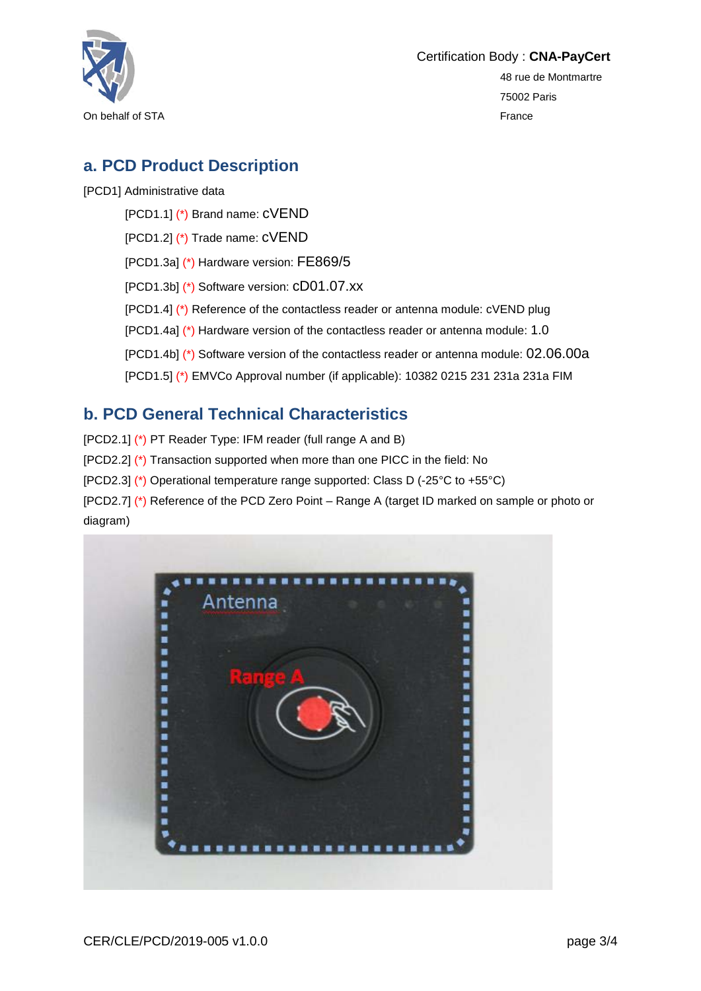

## **a. PCD Product Description**

[PCD1] Administrative data

[PCD1.1] (\*) Brand name: cVEND

[PCD1.2] (\*) Trade name: cVEND

[PCD1.3a] (\*) Hardware version: FE869/5

[PCD1.3b] (\*) Software version: cD01.07.xx

[PCD1.4] (\*) Reference of the contactless reader or antenna module: cVEND plug

[PCD1.4a] (\*) Hardware version of the contactless reader or antenna module: 1.0

[PCD1.4b] (\*) Software version of the contactless reader or antenna module: 02.06.00a

[PCD1.5] (\*) EMVCo Approval number (if applicable): 10382 0215 231 231a 231a FIM

## **b. PCD General Technical Characteristics**

[PCD2.1] (\*) PT Reader Type: IFM reader (full range A and B) [PCD2.2] (\*) Transaction supported when more than one PICC in the field: No [PCD2.3] (\*) Operational temperature range supported: Class D (-25°C to +55°C) [PCD2.7] (\*) Reference of the PCD Zero Point – Range A (target ID marked on sample or photo or diagram)